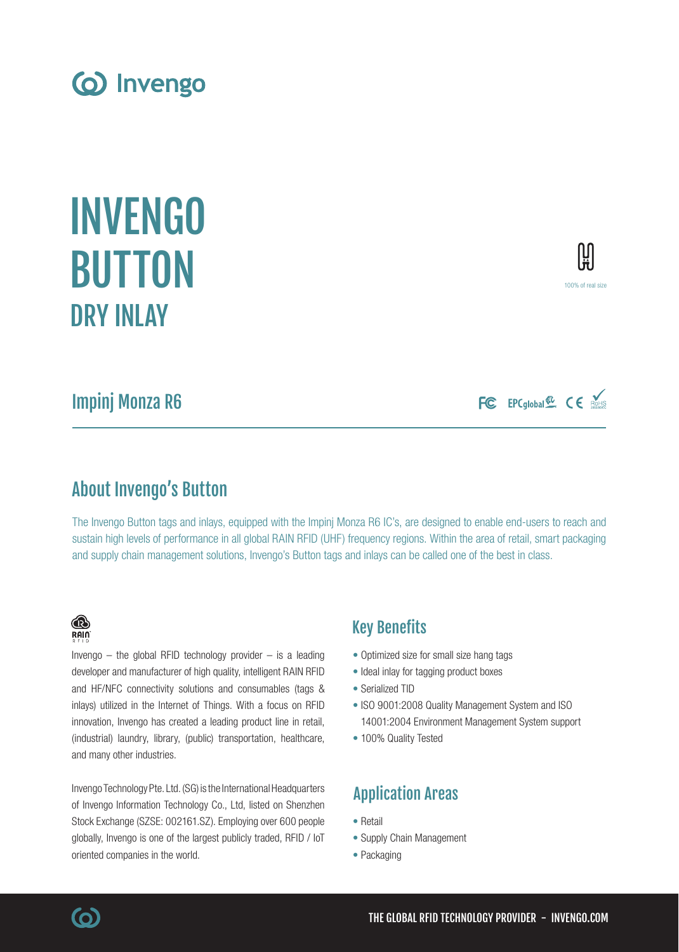Impinj Monza R6

# About Invengo's Button

The Invengo Button tags and inlays, equipped with the Impinj Monza R6 IC's, are designed to enable end-users to reach and sustain high levels of performance in all global RAIN RFID (UHF) frequency regions. Within the area of retail, smart packaging and supply chain management solutions, Invengo's Button tags and inlays can be called one of the best in class.

# Key Benefits

- Optimized size for small size hang tags
- Ideal inlay for tagging product boxes
- Serialized TID
- ISO 9001:2008 Quality Management System and ISO 14001:2004 Environment Management System support
- 100% Quality Tested

# Application Areas

- Retail
- Supply Chain Management
- Packaging

# (industrial) laundry, library, (public) transportation, healthcare, and many other industries. Invengo Technology Pte. Ltd. (SG) is the International Headquarters

of Invengo Information Technology Co., Ltd, listed on Shenzhen Stock Exchange (SZSE: 002161.SZ). Employing over 600 people globally, Invengo is one of the largest publicly traded, RFID / IoT oriented companies in the world.

Invengo  $-$  the global RFID technology provider  $-$  is a leading developer and manufacturer of high quality, intelligent RAIN RFID and HF/NFC connectivity solutions and consumables (tags & inlays) utilized in the Internet of Things. With a focus on RFID innovation, Invengo has created a leading product line in retail,

(o) Invengo

INVENGO

BUTTON

® RAIN

<u>(ဝ)</u>

DRY INLAY

FC EPCglobal & CE ROHIS